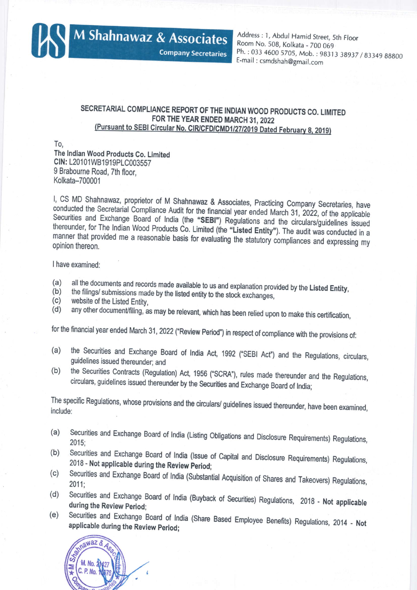

Address: 1, Abdul Hamid Street, 5th Floor Room No. 508, Kolkata - 700 069 Ph.: 033 4600 5705, Mob.: 98313 38937 / 83349 88800 E-mail: csmdshah@gmail.com

## SECRETARIAL COMPLIANCE REPORT OF THE INDIAN WOOD PRODUCTS CO. LIMITED FOR THE YEAR ENDED MARCH 31, 2022 (Pursuant to SEBI Circular No. CIR/CFD/CMD1/27/2019 Dated February 8, 2019)

**Company Secretaries** 

To.

The Indian Wood Products Co. Limited CIN: L20101WB1919PLC003557 9 Brabourne Road, 7th floor, Kolkata-700001

I, CS MD Shahnawaz, proprietor of M Shahnawaz & Associates, Practicing Company Secretaries, have conducted the Secretarial Compliance Audit for the financial year ended March 31, 2022, of the applicable Securities and Exchange Board of India (the "SEBI") Regulations and the circulars/guidelines issued thereunder, for The Indian Wood Products Co. Limited (the "Listed Entity"). The audit was conducted in a manner that provided me a reasonable basis for evaluating the statutory compliances and expressing my opinion thereon.

I have examined:

- all the documents and records made available to us and explanation provided by the Listed Entity,  $(a)$
- the filings/ submissions made by the listed entity to the stock exchanges,  $(b)$
- $(c)$ website of the Listed Entity.
- any other document/filing, as may be relevant, which has been relied upon to make this certification,  $(d)$

for the financial year ended March 31, 2022 ("Review Period") in respect of compliance with the provisions of:

- the Securities and Exchange Board of India Act, 1992 ("SEBI Act") and the Regulations, circulars,  $(a)$ guidelines issued thereunder; and
- the Securities Contracts (Regulation) Act, 1956 ("SCRA"), rules made thereunder and the Regulations,  $(b)$ circulars, guidelines issued thereunder by the Securities and Exchange Board of India;

The specific Regulations, whose provisions and the circulars/ guidelines issued thereunder, have been examined, include:

- Securities and Exchange Board of India (Listing Obligations and Disclosure Requirements) Regulations,  $(a)$  $2015:$
- Securities and Exchange Board of India (Issue of Capital and Disclosure Requirements) Regulations,  $(b)$ 2018 - Not applicable during the Review Period;
- Securities and Exchange Board of India (Substantial Acquisition of Shares and Takeovers) Regulations,  $(c)$  $2011:$
- Securities and Exchange Board of India (Buyback of Securities) Regulations, 2018 Not applicable  $(d)$ during the Review Period;
- Securities and Exchange Board of India (Share Based Employee Benefits) Regulations, 2014 Not  $(e)$ applicable during the Review Period;

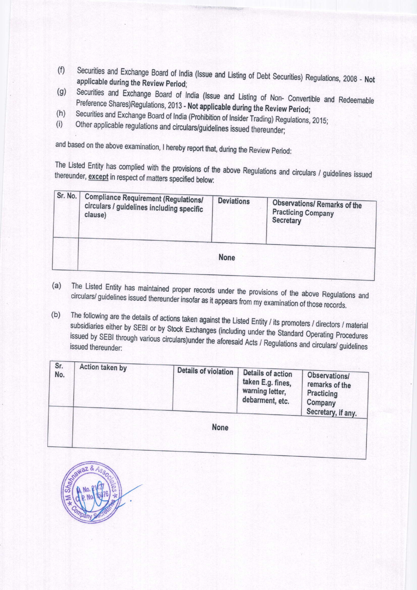- Securities and Exchange Board of India (Issue and Listing of Debt Securities) Regulations, 2008 Not  $(f)$ applicable during the Review Period;
- Securities and Exchange Board of India (Issue and Listing of Non- Convertible and Redeemable  $(g)$ Preference Shares)Regulations, 2013 - Not applicable during the Review Period;
- Securities and Exchange Board of India (Prohibition of Insider Trading) Regulations, 2015;  $(h)$
- Other applicable regulations and circulars/guidelines issued thereunder;  $(i)$

and based on the above examination, I hereby report that, during the Review Period:

The Listed Entity has complied with the provisions of the above Regulations and circulars / guidelines issued thereunder, except in respect of matters specified below:

| Sr. No. | <b>Compliance Requirement (Regulations/</b><br>circulars / guidelines including specific<br>clause) | <b>Deviations</b> | <b>Observations/ Remarks of the</b><br><b>Practicing Company</b><br>Secretary |
|---------|-----------------------------------------------------------------------------------------------------|-------------------|-------------------------------------------------------------------------------|
|         |                                                                                                     | <b>None</b>       |                                                                               |

- The Listed Entity has maintained proper records under the provisions of the above Regulations and  $(a)$ circulars/ guidelines issued thereunder insofar as it appears from my examination of those records.
- The following are the details of actions taken against the Listed Entity / its promoters / directors / material  $(b)$ subsidiaries either by SEBI or by Stock Exchanges (including under the Standard Operating Procedures issued by SEBI through various circulars) under the aforesaid Acts / Regulations and circulars/ guidelines

| Sr.<br>No. | Action taken by | <b>Details of violation</b> | <b>Details of action</b><br>taken E.g. fines,<br>warning letter,<br>debarment, etc. | Observations/<br>remarks of the<br><b>Practicing</b><br>Company<br>Secretary, if any. |
|------------|-----------------|-----------------------------|-------------------------------------------------------------------------------------|---------------------------------------------------------------------------------------|
|            |                 | <b>None</b>                 |                                                                                     |                                                                                       |